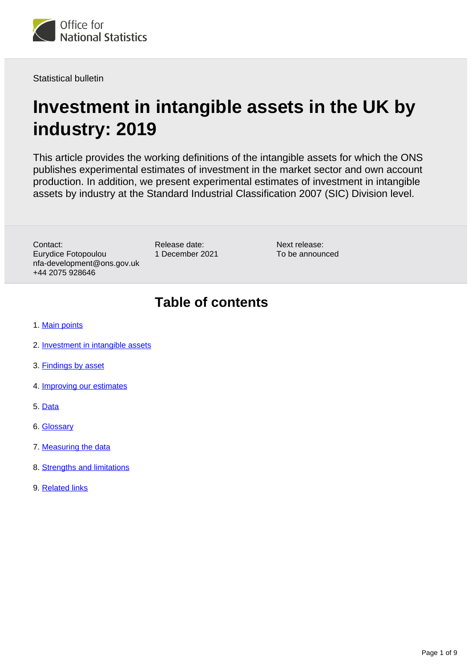

# **Investment in intangible assets in the UK by industry: 2019**

This article provides the working definitions of the intangible assets for which the ONS publishes experimental estimates of investment in the market sector and own account production. In addition, we present experimental estimates of investment in intangible assets by industry at the Standard Industrial Classification 2007 (SIC) Division level.

Contact: Eurydice Fotopoulou nfa-development@ons.gov.uk +44 2075 928646

Release date: 1 December 2021

Next release: To be announced

# **Table of contents**

- 1. [Main points](#page-1-0)
- 2. [Investment in intangible assets](#page-2-0)
- 3. [Findings by asset](#page-4-0)
- 4. [Improving our estimates](#page-5-0)
- 5. [Data](#page-6-0)
- 6. [Glossary](#page-6-1)
- 7. [Measuring the data](#page-7-0)
- 8. [Strengths and limitations](#page-7-1)
- 9. [Related links](#page-8-0)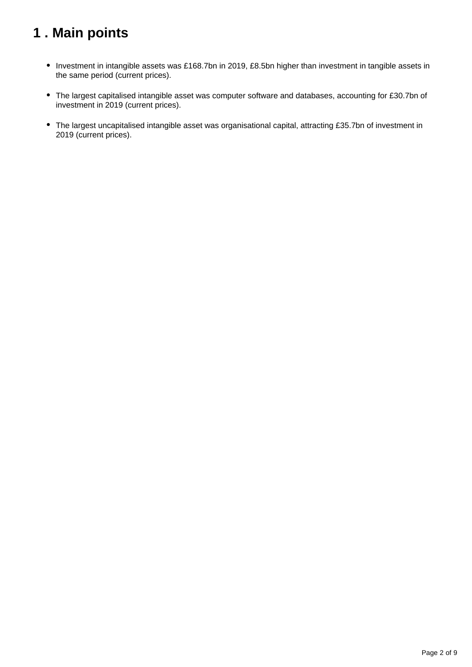# <span id="page-1-0"></span>**1 . Main points**

- Investment in intangible assets was £168.7bn in 2019, £8.5bn higher than investment in tangible assets in the same period (current prices).
- The largest capitalised intangible asset was computer software and databases, accounting for £30.7bn of investment in 2019 (current prices).
- The largest uncapitalised intangible asset was organisational capital, attracting £35.7bn of investment in 2019 (current prices).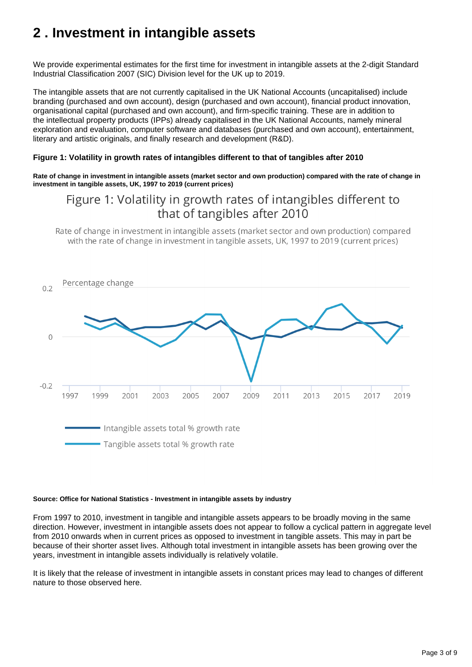# <span id="page-2-0"></span>**2 . Investment in intangible assets**

We provide experimental estimates for the first time for investment in intangible assets at the 2-digit Standard Industrial Classification 2007 (SIC) Division level for the UK up to 2019.

The intangible assets that are not currently capitalised in the UK National Accounts (uncapitalised) include branding (purchased and own account), design (purchased and own account), financial product innovation, organisational capital (purchased and own account), and firm-specific training. These are in addition to the intellectual property products (IPPs) already capitalised in the UK National Accounts, namely mineral exploration and evaluation, computer software and databases (purchased and own account), entertainment, literary and artistic originals, and finally research and development (R&D).

#### **Figure 1: Volatility in growth rates of intangibles different to that of tangibles after 2010**

**Rate of change in investment in intangible assets (market sector and own production) compared with the rate of change in investment in tangible assets, UK, 1997 to 2019 (current prices)**

#### Figure 1: Volatility in growth rates of intangibles different to that of tangibles after 2010

Rate of change in investment in intangible assets (market sector and own production) compared with the rate of change in investment in tangible assets, UK, 1997 to 2019 (current prices)



#### **Source: Office for National Statistics - Investment in intangible assets by industry**

From 1997 to 2010, investment in tangible and intangible assets appears to be broadly moving in the same direction. However, investment in intangible assets does not appear to follow a cyclical pattern in aggregate level from 2010 onwards when in current prices as opposed to investment in tangible assets. This may in part be because of their shorter asset lives. Although total investment in intangible assets has been growing over the years, investment in intangible assets individually is relatively volatile.

It is likely that the release of investment in intangible assets in constant prices may lead to changes of different nature to those observed here.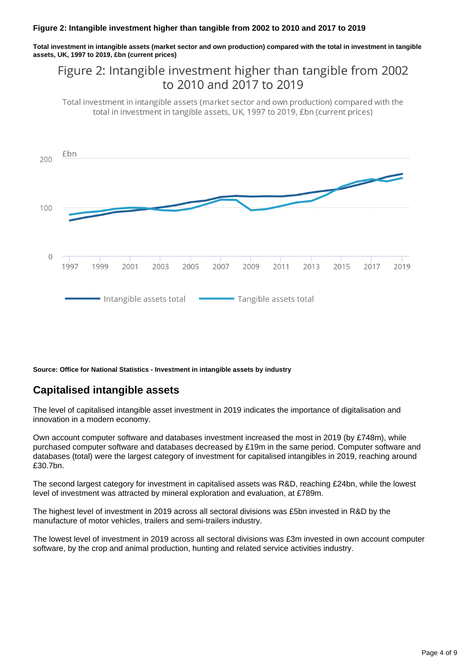**Total investment in intangible assets (market sector and own production) compared with the total in investment in tangible assets, UK, 1997 to 2019, £bn (current prices)**

## Figure 2: Intangible investment higher than tangible from 2002 to 2010 and 2017 to 2019

Total investment in intangible assets (market sector and own production) compared with the total in investment in tangible assets, UK, 1997 to 2019, £bn (current prices)



**Source: Office for National Statistics - Investment in intangible assets by industry**

#### **Capitalised intangible assets**

The level of capitalised intangible asset investment in 2019 indicates the importance of digitalisation and innovation in a modern economy.

Own account computer software and databases investment increased the most in 2019 (by £748m), while purchased computer software and databases decreased by £19m in the same period. Computer software and databases (total) were the largest category of investment for capitalised intangibles in 2019, reaching around £30.7bn.

The second largest category for investment in capitalised assets was R&D, reaching £24bn, while the lowest level of investment was attracted by mineral exploration and evaluation, at £789m.

The highest level of investment in 2019 across all sectoral divisions was £5bn invested in R&D by the manufacture of motor vehicles, trailers and semi-trailers industry.

The lowest level of investment in 2019 across all sectoral divisions was £3m invested in own account computer software, by the crop and animal production, hunting and related service activities industry.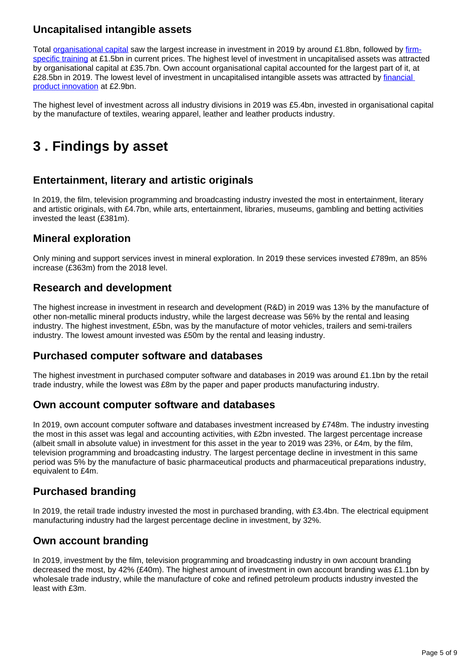#### **Uncapitalised intangible assets**

Total [organisational capital](https://www.ons.gov.uk/economy/economicoutputandproductivity/output/bulletins/investmentinintangibleassetsintheukbyindustry/2019#glossary) saw the largest increase in investment in 2019 by around £1.8bn, followed by [firm](https://www.ons.gov.uk/economy/economicoutputandproductivity/output/bulletins/investmentinintangibleassetsintheukbyindustry/2019#glossary)[specific training](https://www.ons.gov.uk/economy/economicoutputandproductivity/output/bulletins/investmentinintangibleassetsintheukbyindustry/2019#glossary) at £1.5bn in current prices. The highest level of investment in uncapitalised assets was attracted by organisational capital at £35.7bn. Own account organisational capital accounted for the largest part of it, at £28.5bn in 2019. The lowest level of investment in uncapitalised intangible assets was attracted by financial [product innovation](https://www.ons.gov.uk/economy/economicoutputandproductivity/output/bulletins/investmentinintangibleassetsintheukbyindustry/2019#glossary) at £2.9bn.

The highest level of investment across all industry divisions in 2019 was £5.4bn, invested in organisational capital by the manufacture of textiles, wearing apparel, leather and leather products industry.

# <span id="page-4-0"></span>**3 . Findings by asset**

#### **Entertainment, literary and artistic originals**

In 2019, the film, television programming and broadcasting industry invested the most in entertainment, literary and artistic originals, with £4.7bn, while arts, entertainment, libraries, museums, gambling and betting activities invested the least (£381m).

#### **Mineral exploration**

Only mining and support services invest in mineral exploration. In 2019 these services invested £789m, an 85% increase (£363m) from the 2018 level.

#### **Research and development**

The highest increase in investment in research and development (R&D) in 2019 was 13% by the manufacture of other non-metallic mineral products industry, while the largest decrease was 56% by the rental and leasing industry. The highest investment, £5bn, was by the manufacture of motor vehicles, trailers and semi-trailers industry. The lowest amount invested was £50m by the rental and leasing industry.

#### **Purchased computer software and databases**

The highest investment in purchased computer software and databases in 2019 was around £1.1bn by the retail trade industry, while the lowest was £8m by the paper and paper products manufacturing industry.

#### **Own account computer software and databases**

In 2019, own account computer software and databases investment increased by £748m. The industry investing the most in this asset was legal and accounting activities, with £2bn invested. The largest percentage increase (albeit small in absolute value) in investment for this asset in the year to 2019 was 23%, or £4m, by the film, television programming and broadcasting industry. The largest percentage decline in investment in this same period was 5% by the manufacture of basic pharmaceutical products and pharmaceutical preparations industry, equivalent to £4m.

#### **Purchased branding**

In 2019, the retail trade industry invested the most in purchased branding, with £3.4bn. The electrical equipment manufacturing industry had the largest percentage decline in investment, by 32%.

#### **Own account branding**

In 2019, investment by the film, television programming and broadcasting industry in own account branding decreased the most, by 42% (£40m). The highest amount of investment in own account branding was £1.1bn by wholesale trade industry, while the manufacture of coke and refined petroleum products industry invested the least with £3m.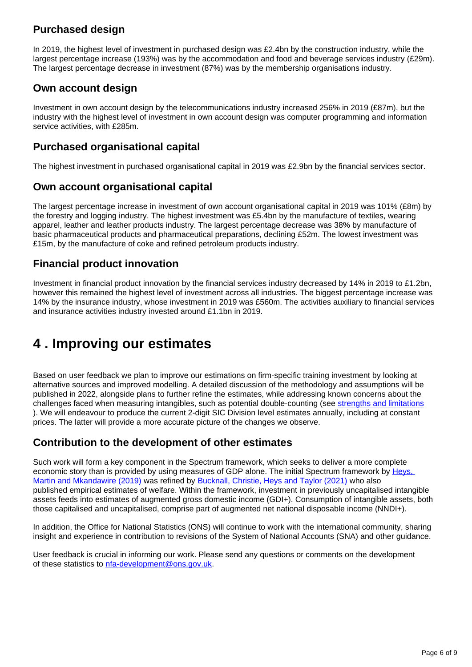#### **Purchased design**

In 2019, the highest level of investment in purchased design was £2.4bn by the construction industry, while the largest percentage increase (193%) was by the accommodation and food and beverage services industry (£29m). The largest percentage decrease in investment (87%) was by the membership organisations industry.

#### **Own account design**

Investment in own account design by the telecommunications industry increased 256% in 2019 (£87m), but the industry with the highest level of investment in own account design was computer programming and information service activities, with £285m.

#### **Purchased organisational capital**

The highest investment in purchased organisational capital in 2019 was £2.9bn by the financial services sector.

#### **Own account organisational capital**

The largest percentage increase in investment of own account organisational capital in 2019 was 101% (£8m) by the forestry and logging industry. The highest investment was £5.4bn by the manufacture of textiles, wearing apparel, leather and leather products industry. The largest percentage decrease was 38% by manufacture of basic pharmaceutical products and pharmaceutical preparations, declining £52m. The lowest investment was £15m, by the manufacture of coke and refined petroleum products industry.

#### **Financial product innovation**

Investment in financial product innovation by the financial services industry decreased by 14% in 2019 to £1.2bn, however this remained the highest level of investment across all industries. The biggest percentage increase was 14% by the insurance industry, whose investment in 2019 was £560m. The activities auxiliary to financial services and insurance activities industry invested around £1.1bn in 2019.

# <span id="page-5-0"></span>**4 . Improving our estimates**

Based on user feedback we plan to improve our estimations on firm-specific training investment by looking at alternative sources and improved modelling. A detailed discussion of the methodology and assumptions will be published in 2022, alongside plans to further refine the estimates, while addressing known concerns about the challenges faced when measuring intangibles, such as potential double-counting (see [strengths and limitations](https://www.ons.gov.uk/economy/economicoutputandproductivity/output/bulletins/investmentinintangibleassetsintheukbyindustry/2019#strengths-and-limitations) ). We will endeavour to produce the current 2-digit SIC Division level estimates annually, including at constant prices. The latter will provide a more accurate picture of the changes we observe.

#### **Contribution to the development of other estimates**

Such work will form a key component in the Spectrum framework, which seeks to deliver a more complete economic story than is provided by using measures of GDP alone. The initial Spectrum framework by Heys, [Martin and Mkandawire \(2019\)](https://escoe-website.s3.amazonaws.com/wp-content/uploads/2020/07/14160047/ESCoE-DP-2019-16-V1.pdf) was refined by [Bucknall, Christie, Heys and Taylor \(2021\)](https://escoe-website.s3.amazonaws.com/wp-content/uploads/2021/07/05183316/ESCoE-DP-2021-08.pdf) who also published empirical estimates of welfare. Within the framework, investment in previously uncapitalised intangible assets feeds into estimates of augmented gross domestic income (GDI+). Consumption of intangible assets, both those capitalised and uncapitalised, comprise part of augmented net national disposable income (NNDI+).

In addition, the Office for National Statistics (ONS) will continue to work with the international community, sharing insight and experience in contribution to revisions of the System of National Accounts (SNA) and other guidance.

User feedback is crucial in informing our work. Please send any questions or comments on the development of these statistics to [nfa-development@ons.gov.uk](mailto:nfa-development@ons.gov.uk).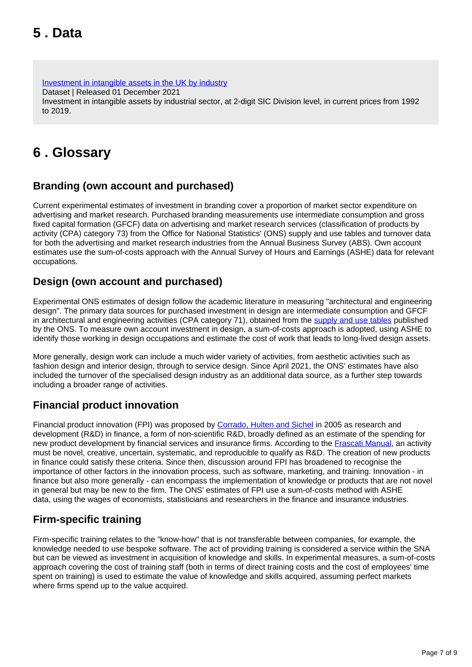# <span id="page-6-0"></span>**5 . Data**

[Investment in intangible assets in the UK by industry](https://www.ons.gov.uk/economy/economicoutputandproductivity/output/datasets/investmentinintangibleassetsintheukbyindustry) Dataset | Released 01 December 2021 Investment in intangible assets by industrial sector, at 2-digit SIC Division level, in current prices from 1992 to 2019.

# <span id="page-6-1"></span>**6 . Glossary**

#### **Branding (own account and purchased)**

Current experimental estimates of investment in branding cover a proportion of market sector expenditure on advertising and market research. Purchased branding measurements use intermediate consumption and gross fixed capital formation (GFCF) data on advertising and market research services (classification of products by activity (CPA) category 73) from the Office for National Statistics' (ONS) supply and use tables and turnover data for both the advertising and market research industries from the Annual Business Survey (ABS). Own account estimates use the sum-of-costs approach with the Annual Survey of Hours and Earnings (ASHE) data for relevant occupations.

#### **Design (own account and purchased)**

Experimental ONS estimates of design follow the academic literature in measuring "architectural and engineering design". The primary data sources for purchased investment in design are intermediate consumption and GFCF in architectural and engineering activities (CPA category 71), obtained from the [supply and use tables](https://www.ons.gov.uk/economy/nationalaccounts/supplyandusetables/datasets/inputoutputsupplyandusetables) published by the ONS. To measure own account investment in design, a sum-of-costs approach is adopted, using ASHE to identify those working in design occupations and estimate the cost of work that leads to long-lived design assets.

More generally, design work can include a much wider variety of activities, from aesthetic activities such as fashion design and interior design, through to service design. Since April 2021, the ONS' estimates have also included the turnover of the specialised design industry as an additional data source, as a further step towards including a broader range of activities.

### **Financial product innovation**

Financial product innovation (FPI) was proposed by [Corrado, Hulten and Sichel](https://www.nber.org/system/files/chapters/c0202/c0202.pdf) in 2005 as research and development (R&D) in finance, a form of non-scientific R&D, broadly defined as an estimate of the spending for new product development by financial services and insurance firms. According to the [Frascati Manual,](https://www.oecd.org/sti/frascati-manual-2015-9789264239012-en.htm) an activity must be novel, creative, uncertain, systematic, and reproducible to qualify as R&D. The creation of new products in finance could satisfy these criteria. Since then, discussion around FPI has broadened to recognise the importance of other factors in the innovation process, such as software, marketing, and training. Innovation - in finance but also more generally - can encompass the implementation of knowledge or products that are not novel in general but may be new to the firm. The ONS' estimates of FPI use a sum-of-costs method with ASHE data, using the wages of economists, statisticians and researchers in the finance and insurance industries.

### **Firm-specific training**

Firm-specific training relates to the "know-how" that is not transferable between companies, for example, the knowledge needed to use bespoke software. The act of providing training is considered a service within the SNA but can be viewed as investment in acquisition of knowledge and skills. In experimental measures, a sum-of-costs approach covering the cost of training staff (both in terms of direct training costs and the cost of employees' time spent on training) is used to estimate the value of knowledge and skills acquired, assuming perfect markets where firms spend up to the value acquired.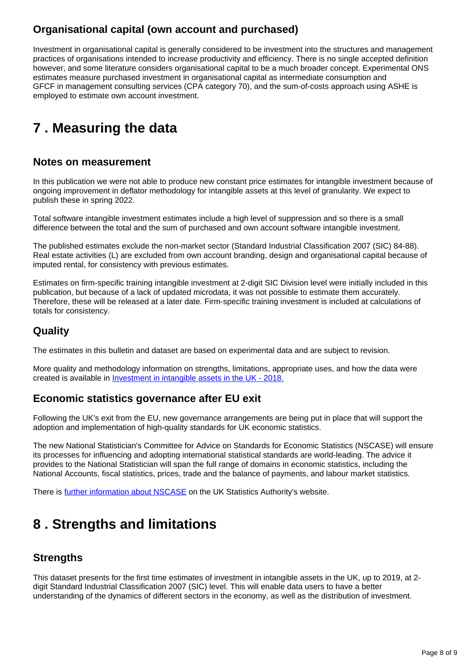#### **Organisational capital (own account and purchased)**

Investment in organisational capital is generally considered to be investment into the structures and management practices of organisations intended to increase productivity and efficiency. There is no single accepted definition however, and some literature considers organisational capital to be a much broader concept. Experimental ONS estimates measure purchased investment in organisational capital as intermediate consumption and GFCF in management consulting services (CPA category 70), and the sum-of-costs approach using ASHE is employed to estimate own account investment.

# <span id="page-7-0"></span>**7 . Measuring the data**

#### **Notes on measurement**

In this publication we were not able to produce new constant price estimates for intangible investment because of ongoing improvement in deflator methodology for intangible assets at this level of granularity. We expect to publish these in spring 2022.

Total software intangible investment estimates include a high level of suppression and so there is a small difference between the total and the sum of purchased and own account software intangible investment.

The published estimates exclude the non-market sector (Standard Industrial Classification 2007 (SIC) 84-88). Real estate activities (L) are excluded from own account branding, design and organisational capital because of imputed rental, for consistency with previous estimates.

Estimates on firm-specific training intangible investment at 2-digit SIC Division level were initially included in this publication, but because of a lack of updated microdata, it was not possible to estimate them accurately. Therefore, these will be released at a later date. Firm-specific training investment is included at calculations of totals for consistency.

#### **Quality**

The estimates in this bulletin and dataset are based on experimental data and are subject to revision.

More quality and methodology information on strengths, limitations, appropriate uses, and how the data were created is available in [Investment in intangible assets in the UK - 2018.](https://www.ons.gov.uk/economy/economicoutputandproductivity/productivitymeasures/articles/experimentalestimatesofinvestmentinintangibleassetsintheuk2015/2018)

#### **Economic statistics governance after EU exit**

Following the UK's exit from the EU, new governance arrangements are being put in place that will support the adoption and implementation of high-quality standards for UK economic statistics.

The new National Statistician's Committee for Advice on Standards for Economic Statistics (NSCASE) will ensure its processes for influencing and adopting international statistical standards are world-leading. The advice it provides to the National Statistician will span the full range of domains in economic statistics, including the National Accounts, fiscal statistics, prices, trade and the balance of payments, and labour market statistics.

There is [further information about NSCASE](https://uksa.statisticsauthority.gov.uk/the-authority-board/committees/national-statisticians-advisory-committees-and-panels/national-statisticians-committee-for-advice-on-standards-for-economic-statistics-nscase/) on the UK Statistics Authority's website.

# <span id="page-7-1"></span>**8 . Strengths and limitations**

#### **Strengths**

This dataset presents for the first time estimates of investment in intangible assets in the UK, up to 2019, at 2 digit Standard Industrial Classification 2007 (SIC) level. This will enable data users to have a better understanding of the dynamics of different sectors in the economy, as well as the distribution of investment.